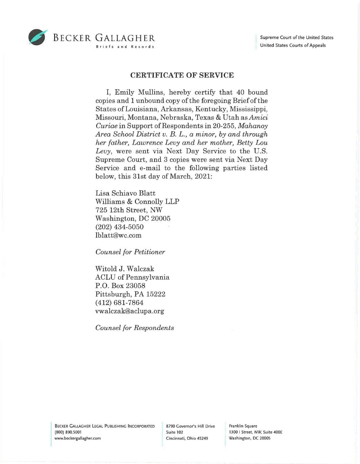

## **CERTIFICATE OF SERVICE**

I, Emily Mullins, hereby certify that 40 bound copies and 1 unbound copy of the foregoing Brief of the States of Louisiana, Arkansas, Kentucky, Mississippi, Missouri, Montana, Nebraska, Texas & Utah as *Amici Curiae* in Support of Respondents in 20-255, *Mahanoy Area School District u. B. L., a minor, by and through her father, Lawrence Leuy and her mother, Betty Lou Leuy,* were sent via Next Day Service to the U.S. Supreme Court, and 3 copies were sent via Next Day Service and e-mail to the following parties listed below, this 31st day of March, 2021:

Lisa Schiavo Blatt Williams & Connolly LLP 725 12th Street, NW Washington, DC 20005 (202) 434-5050 lblatt@wc.com

*Counsel for Petitioner* 

Witold J. Walczak ACLU of Pennsylvania P.O. Box 23058 Pittsburgh, PA 15222 (412) 681-7864 vwalczak@aclupa.org

*Counsel for Respondents* 

Suite 102 1300 | Street, NW, Suite 400E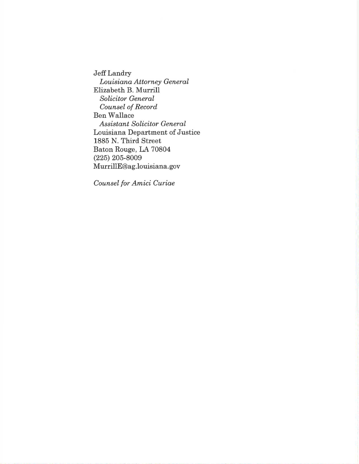Jeff Landry *Louisiana Attorney General*  Elizabeth B. Murrill *Solicitor General Counsel of Record*  Ben Wallace *Assistant Solicitor General*  Louisiana Department of Justice 1885 N. Third Street Baton Rouge, LA 70804 (225) 205-8009 MurrillE@ag.louisiana.gov

*Counsel for Amici Curiae*